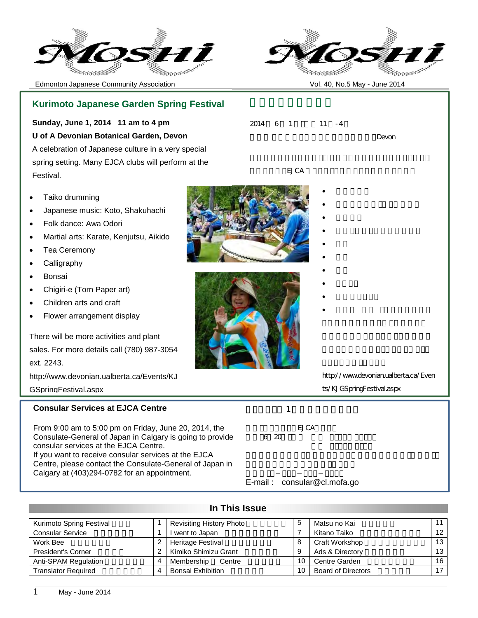



Edmonton Japanese Community Association Vol. 40, No.5 May - June 2014

#### **Consular Services at EJCA Centre** From 9:00 am to 5:00 pm on Friday, June 20, 2014, the Consulate-General of Japan in Calgary is going to provide consular services at the EJCA Centre. If you want to receive consular services at the EJCA Centre, please contact the Consulate-General of Japan in j  $1$ EJCA 6 20 **Kurimoto Japanese Garden Spring Festival Sunday, June 1, 2014 11 am to 4 pm U of A Devonian Botanical Garden, Devon** A celebration of Japanese culture in a very special spring setting. Many EJCA clubs will perform at the Festival. 2014 6 1 11 -4 Devon EJCA Taiko drumming · Japanese music: Koto, Shakuhachi Folk dance: Awa Odori · Martial arts: Karate, Kenjutsu, Aikido Tea Ceremony **Calligraphy Bonsai** · Chigiri-e (Torn Paper art) Children arts and craft · Flower arrangement display There will be more activities and plant sales. For more details call (780) 987-3054 ext. 2243. http://www.devonian.ualberta.ca/Events/KJ GSpringFestival.aspx · 和太鼓演奏 • <sub>1</sub> · 阿波踊り · 空手、剣術、合気道模擬試合  $\bullet$  $\bullet$  $\bullet$  $\bullet$  $\bullet$   $\bullet$   $\bullet$   $\bullet$   $\bullet$   $\bullet$   $\bullet$   $\bullet$  $\bullet$ http://www.devonian.ualberta.ca/Even ts/KJGSpringFestival.aspx

# **In This Issue**

E-mail : consular@cl.mofa.go

| Kurimoto Spring Festival   | <b>Revisiting History Photo</b> |    | Matsu no Kai              | 11              |
|----------------------------|---------------------------------|----|---------------------------|-----------------|
| <b>Consular Service</b>    | went to Japan                   |    | Kitano Taiko              | 12 <sub>1</sub> |
| Work Bee                   | <b>Heritage Festival</b>        | 8  | Craft Workshop            | 13 <sup>1</sup> |
| <b>President's Corner</b>  | Kimiko Shimizu Grant            | 9  | Ads & Directory           | 13 <sup>1</sup> |
| Anti-SPAM Regulation       | Membership<br>Centre            | 10 | Centre Garden             | 16              |
| <b>Translator Required</b> | Bonsai Exhibition               | 10 | <b>Board of Directors</b> | 17 <sup>2</sup> |

j

Calgary at (403)294-0782 for an appointment.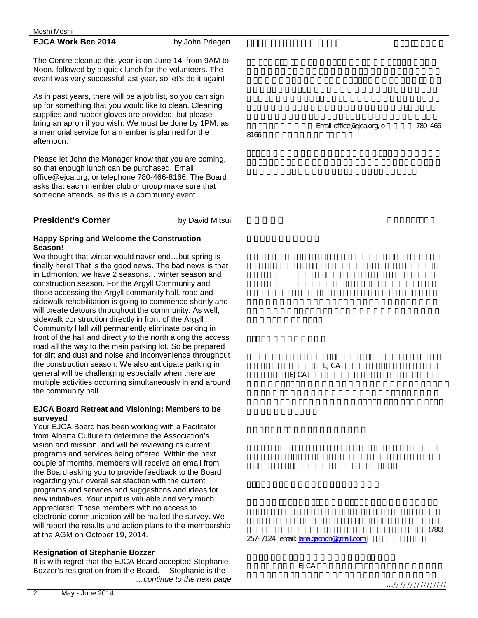### **EJCA Work Bee 2014** by John Priegert

The Centre cleanup this year is on June 14, from 9AM to Noon, followed by a quick lunch for the volunteers. The event was very successful last year, so let's do it again!

As in past years, there will be a job list, so you can sign up for something that you would like to clean. Cleaning supplies and rubber gloves are provided, but please bring an apron if you wish. We must be done by 1PM, as a memorial service for a member is planned for the afternoon.

Please let John the Manager know that you are coming, so that enough lunch can be purchased. Email office@ejca.org, or telephone 780-466-8166. The Board asks that each member club or group make sure that someone attends, as this is a community event.

## **President's Corner** by David Mitsui

8166

#### **Happy Spring and Welcome the Construction Season!**

We thought that winter would never end...but spring is finally here! That is the good news. The bad news is that in Edmonton, we have 2 seasons….winter season and construction season. For the Argyll Community and those accessing the Argyll community hall, road and sidewalk rehabilitation is going to commence shortly and will create detours throughout the community. As well, sidewalk construction directly in front of the Argyll Community Hall will permanently eliminate parking in front of the hall and directly to the north along the access road all the way to the main parking lot. So be prepared for dirt and dust and noise and inconvenience throughout the construction season. We also anticipate parking in general will be challenging especially when there are multiple activities occurring simultaneously in and around the community hall.

### **EJCA Board Retreat and Visioning: Members to be surveyed**

Your EJCA Board has been working with a Facilitator from Alberta Culture to determine the Association's vision and mission, and will be reviewing its current programs and services being offered. Within the next couple of months, members will receive an email from the Board asking you to provide feedback to the Board regarding your overall satisfaction with the current programs and services and suggestions and ideas for new initiatives. Your input is valuable and very much appreciated. Those members with no access to electronic communication will be mailed the survey. We will report the results and action plans to the membership at the AGM on October 19, 2014.

### **Resignation of Stephanie Bozzer**

It is with regret that the EJCA Board accepted Stephanie Bozzer's resignation from the Board. Stephanie is the *…continue to the next page*  Email office@ejca.org, o 780-466-

 $EJCA$ EJCA **ELLET** 

257-7124 email: lana.gagnon@gmail.com

 $(780)$ 

 $\cdots$ 

EJCA 2012 PEJCA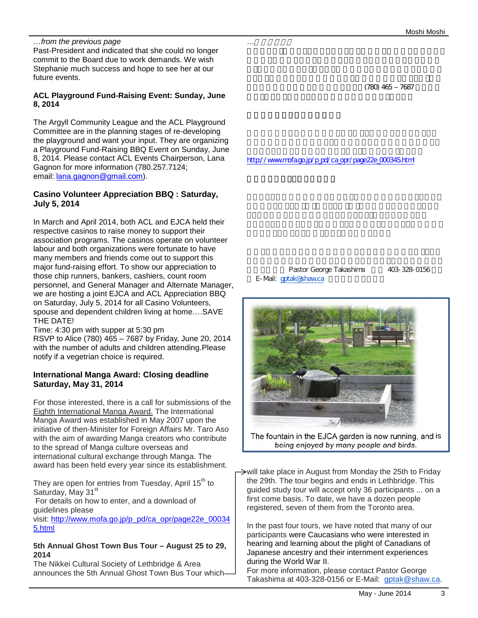*…from the previous page* 

Past-President and indicated that she could no longer commit to the Board due to work demands. We wish Stephanie much success and hope to see her at our future events.

## **ACL Playground Fund-Raising Event: Sunday, June 8, 2014**

The Argyll Community League and the ACL Playground Committee are in the planning stages of re-developing the playground and want your input. They are organizing a Playground Fund-Raising BBQ Event on Sunday, June 8, 2014. Please contact ACL Events Chairperson, Lana Gagnon for more information (780.257.7124; email: lana.gagnon@gmail.com).

## **Casino Volunteer Appreciation BBQ : Saturday, July 5, 2014**

In March and April 2014, both ACL and EJCA held their respective casinos to raise money to support their association programs. The casinos operate on volunteer labour and both organizations were fortunate to have many members and friends come out to support this major fund-raising effort. To show our appreciation to those chip runners, bankers, cashiers, count room personnel, and General Manager and Alternate Manager, we are hosting a joint EJCA and ACL Appreciation BBQ on Saturday, July 5, 2014 for all Casino Volunteers, spouse and dependent children living at home….SAVE THE DATE!

Time: 4:30 pm with supper at 5:30 pm RSVP to Alice (780) 465 – 7687 by Friday, June 20, 2014 with the number of adults and children attending. Please notify if a vegetrian choice is required.

### **International Manga Award: Closing deadline Saturday, May 31, 2014**

For those interested, there is a call for submissions of the Eighth International Manga Award. The International Manga Award was established in May 2007 upon the initiative of then-Minister for Foreign Affairs Mr. Taro Aso with the aim of awarding Manga creators who contribute to the spread of Manga culture overseas and international cultural exchange through Manga. The award has been held every year since its establishment.

They are open for entries from Tuesday, April  $15<sup>th</sup>$  to Saturday, May 31<sup>st</sup> For details on how to enter, and a download of

guidelines please

visit: http://www.mofa.go.jp/p\_pd/ca\_opr/page22e\_00034 5.html

### **5th Annual Ghost Town Bus Tour – August 25 to 29, 2014**

The Nikkei Cultural Society of Lethbridge & Area announces the 5th Annual Ghost Town Bus Tour which  $(780)$  465 – 7687

http://www.mofa.go.jp/p\_pd/ca\_opr/page22e\_000345.html

 $\ldots$ 

Pastor George Takashima 403-328-0156 E-Mail: gptak@shaw.ca



The fountain in the EJCA garden is now running, and is being enjoyed by many people and birds.

 $\rightarrow$  will take place in August from Monday the 25th to Friday the 29th. The tour begins and ends in Lethbridge. This guided study tour will accept only 36 participants ... on a first come basis. To date, we have a dozen people registered, seven of them from the Toronto area.

In the past four tours, we have noted that many of our participants were Caucasians who were interested in hearing and learning about the plight of Canadians of Japanese ancestry and their internment experiences during the World War II.

For more information, please contact Pastor George Takashima at 403-328-0156 or E-Mail: gptak@shaw.ca.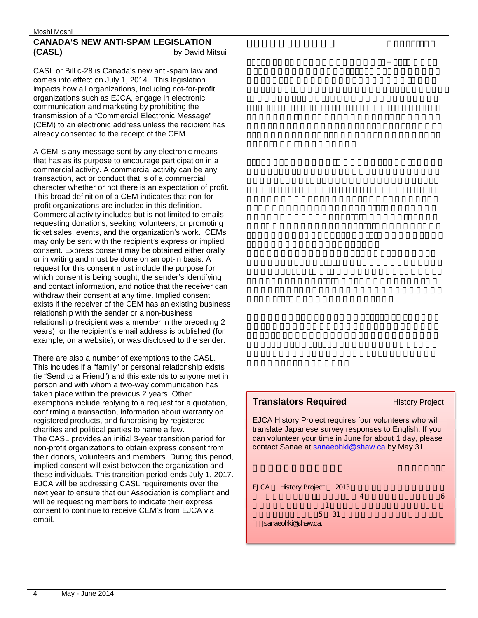# **CANADA'S NEW ANTI-SPAM LEGISLATION (CASL)** by David Mitsui

CASL or Bill c-28 is Canada's new anti-spam law and comes into effect on July 1, 2014. This legislation impacts how all organizations, including not-for-profit organizations such as EJCA, engage in electronic communication and marketing by prohibiting the transmission of a "Commercial Electronic Message" (CEM) to an electronic address unless the recipient has already consented to the receipt of the CEM.

A CEM is any message sent by any electronic means that has as its purpose to encourage participation in a commercial activity. A commercial activity can be any transaction, act or conduct that is of a commercial character whether or not there is an expectation of profit. This broad definition of a CEM indicates that non-forprofit organizations are included in this definition. Commercial activity includes but is not limited to emails requesting donations, seeking volunteers, or promoting ticket sales, events, and the organization's work. CEMs may only be sent with the recipient's express or implied consent. Express consent may be obtained either orally or in writing and must be done on an opt-in basis. A request for this consent must include the purpose for which consent is being sought, the sender's identifying and contact information, and notice that the receiver can withdraw their consent at any time. Implied consent exists if the receiver of the CEM has an existing business relationship with the sender or a non-business relationship (recipient was a member in the preceding 2 years), or the recipient's email address is published (for example, on a website), or was disclosed to the sender.

There are also a number of exemptions to the CASL. This includes if a "family" or personal relationship exists (ie "Send to a Friend") and this extends to anyone met in person and with whom a two-way communication has taken place within the previous 2 years. Other exemptions include replying to a request for a quotation, confirming a transaction, information about warranty on registered products, and fundraising by registered charities and political parties to name a few. The CASL provides an initial 3-year transition period for non-profit organizations to obtain express consent from their donors, volunteers and members. During this period, implied consent will exist between the organization and these individuals. This transition period ends July 1, 2017. EJCA will be addressing CASL requirements over the next year to ensure that our Association is compliant and will be requesting members to indicate their express consent to continue to receive CEM's from EJCA via email.

# **Translators Required** History Project EJCA History Project requires four volunteers who will translate Japanese survey responses to English. If you can volunteer your time in June for about 1 day, please contact Sanae at sanaeohki@shaw.ca by May 31. EJCA History Project 2013  $\sim 4$  and  $\sim 6$  $\mathbf 1$ сыстановка  $\mathbf 1$  $5$   $31$ sanaeohki@shaw.ca.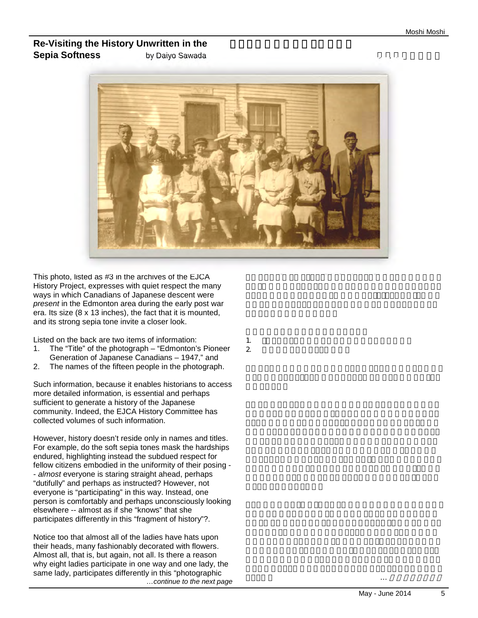# **Re-Visiting the History Unwritten in the Sepia Softness** by Daiyo Sawada



This photo, listed as #3 in the archives of the EJCA History Project, expresses with quiet respect the many ways in which Canadians of Japanese descent were *present* in the Edmonton area during the early post war era. Its size (8 x 13 inches), the fact that it is mounted, and its strong sepia tone invite a closer look.

Listed on the back are two items of information:

- 1. The "Title" of the photograph "Edmonton's Pioneer Generation of Japanese Canadians – 1947," and
- 2. The names of the fifteen people in the photograph.

Such information, because it enables historians to access more detailed information, is essential and perhaps sufficient to generate a history of the Japanese community. Indeed, the EJCA History Committee has collected volumes of such information.

However, history doesn't reside only in names and titles. For example, do the soft sepia tones mask the hardships endured, highlighting instead the subdued respect for fellow citizens embodied in the uniformity of their posing - - *almost* everyone is staring straight ahead, perhaps "dutifully" and perhaps as instructed? However, not everyone is "participating" in this way. Instead, one person is comfortably and perhaps unconsciously looking elsewhere -- almost as if she "knows" that she participates differently in this "fragment of history"?.

Notice too that almost all of the ladies have hats upon their heads, many fashionably decorated with flowers. Almost all, that is, but again, not all. Is there a reason why eight ladies participate in one way and one lady, the same lady, participates differently in this "photographic *…continue to the next page*   $1.$  $2.$ 

- このカタログ#3のEJCAでは戦後まで、1990年に1990年に1990年に1990年に1990年に1990年に1990年に1990年に1990年に1990年に1990年に1990年に1990年に<br>- 1990年に1990年に1990年に1990年に1990年に1990年に1990年に1990年に1990年に1990年に1990年に1990年に1990年に1990年に1990年に1990年に1990年に1990年

しょうかい … 次のページへの … 次のページへの … 次のページへの … 次のページへの … 次のページへの … 次のページへの … 次のページベル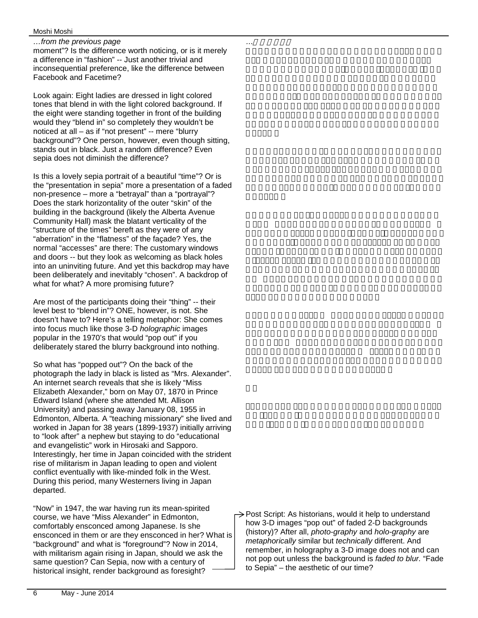*…from the previous page* 

moment"? Is the difference worth noticing, or is it merely a difference in "fashion" -- Just another trivial and inconsequential preference, like the difference between Facebook and Facetime?

 $\cdots$ 

Look again: Eight ladies are dressed in light colored tones that blend in with the light colored background. If the eight were standing together in front of the building would they "blend in" so completely they wouldn't be noticed at all – as if "not present" -- mere "blurry background"? One person, however, even though sitting, stands out in black. Just a random difference? Even sepia does not diminish the difference?

Is this a lovely sepia portrait of a beautiful "time"? Or is the "presentation in sepia" more a presentation of a faded non-presence – more a "betrayal" than a "portrayal"? Does the stark horizontality of the outer "skin" of the building in the background (likely the Alberta Avenue Community Hall) mask the blatant verticality of the "structure of the times" bereft as they were of any "aberration" in the "flatness" of the façade? Yes, the normal "accesses" are there: The customary windows and doors -- but they look as welcoming as black holes into an uninviting future. And yet this backdrop may have been deliberately and inevitably "chosen". A backdrop of what for what? A more promising future?

Are most of the participants doing their "thing" -- their level best to "blend in"? ONE, however, is not. She doesn't have to? Here's a telling metaphor: She comes into focus much like those 3-D *holographic* images popular in the 1970's that would "pop out" if you deliberately stared the blurry background into nothing.

So what has "popped out"? On the back of the photograph the lady in black is listed as "Mrs. Alexander". An internet search reveals that she is likely "Miss Elizabeth Alexander," born on May 07, 1870 in Prince Edward Island (where she attended Mt. Allison University) and passing away January 08, 1955 in Edmonton, Alberta. A "teaching missionary" she lived and worked in Japan for 38 years (1899-1937) initially arriving to "look after" a nephew but staying to do "educational and evangelistic" work in Hirosaki and Sapporo. Interestingly, her time in Japan coincided with the strident rise of militarism in Japan leading to open and violent conflict eventually with like-minded folk in the West. During this period, many Westerners living in Japan departed.

"Now" in 1947, the war having run its mean-spirited course, we have "Miss Alexander" in Edmonton, comfortably ensconced among Japanese. Is she ensconced in them or are they ensconced in her? What is "background" and what is "foreground"? Now in 2014, with militarism again rising in Japan, should we ask the same question? Can Sepia, now with a century of historical insight, render background as foresight?

 $\rightarrow$  Post Script: As historians, would it help to understand how 3-D images "pop out" of faded 2-D backgrounds (history)? After all, *photo-graphy* and *holo-graphy* are *metaphorically* similar but *technically* different. And remember, in holography a 3-D image does not and can not pop out unless the background is *faded to blur.* "Fade to Sepia" – the aesthetic of our time?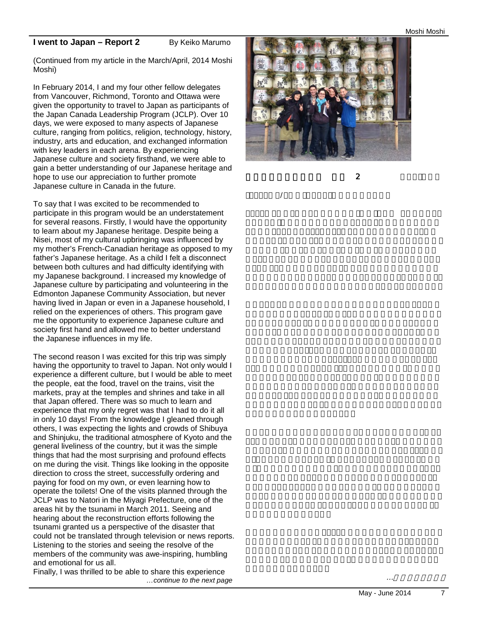#### **I went to Japan – Report 2** By Keiko Marumo

(Continued from my article in the March/April, 2014 Moshi Moshi)

In February 2014, I and my four other fellow delegates from Vancouver, Richmond, Toronto and Ottawa were given the opportunity to travel to Japan as participants of the Japan Canada Leadership Program (JCLP). Over 10 days, we were exposed to many aspects of Japanese culture, ranging from politics, religion, technology, history, industry, arts and education, and exchanged information with key leaders in each arena. By experiencing Japanese culture and society firsthand, we were able to gain a better understanding of our Japanese heritage and hope to use our appreciation to further promote Japanese culture in Canada in the future.

To say that I was excited to be recommended to participate in this program would be an understatement for several reasons. Firstly, I would have the opportunity to learn about my Japanese heritage. Despite being a Nisei, most of my cultural upbringing was influenced by my mother's French-Canadian heritage as opposed to my father's Japanese heritage. As a child I felt a disconnect between both cultures and had difficulty identifying with my Japanese background. I increased my knowledge of Japanese culture by participating and volunteering in the Edmonton Japanese Community Association, but never having lived in Japan or even in a Japanese household, I relied on the experiences of others. This program gave me the opportunity to experience Japanese culture and society first hand and allowed me to better understand the Japanese influences in my life.

The second reason I was excited for this trip was simply having the opportunity to travel to Japan. Not only would I experience a different culture, but I would be able to meet the people, eat the food, travel on the trains, visit the markets, pray at the temples and shrines and take in all that Japan offered. There was so much to learn and experience that my only regret was that I had to do it all in only 10 days! From the knowledge I gleaned through others, I was expecting the lights and crowds of Shibuya and Shinjuku, the traditional atmosphere of Kyoto and the general liveliness of the country, but it was the simple things that had the most surprising and profound effects on me during the visit. Things like looking in the opposite direction to cross the street, successfully ordering and paying for food on my own, or even learning how to operate the toilets! One of the visits planned through the JCLP was to Natori in the Miyagi Prefecture, one of the areas hit by the tsunami in March 2011. Seeing and hearing about the reconstruction efforts following the tsunami granted us a perspective of the disaster that could not be translated through television or news reports. Listening to the stories and seeing the resolve of the members of the community was awe-inspiring, humbling and emotional for us all.

Finally, I was thrilled to be able to share this experience *…continue to the next page* 



 $(20143)$ 

 $\mathbf{2}$ 

 $\cdots$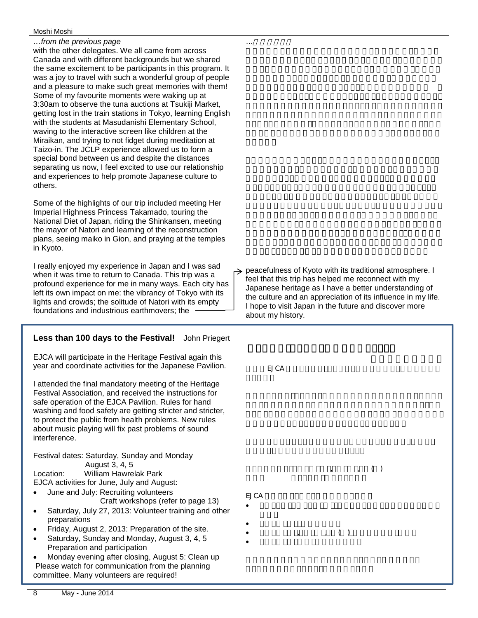*…from the previous page* 

with the other delegates. We all came from across Canada and with different backgrounds but we shared the same excitement to be participants in this program. It was a joy to travel with such a wonderful group of people and a pleasure to make such great memories with them! Some of my favourite moments were waking up at 3:30am to observe the tuna auctions at Tsukiji Market, getting lost in the train stations in Tokyo, learning English with the students at Masudanishi Elementary School, waving to the interactive screen like children at the Miraikan, and trying to not fidget during meditation at Taizo-in. The JCLP experience allowed us to form a special bond between us and despite the distances separating us now, I feel excited to use our relationship and experiences to help promote Japanese culture to others.

Some of the highlights of our trip included meeting Her Imperial Highness Princess Takamado, touring the National Diet of Japan, riding the Shinkansen, meeting the mayor of Natori and learning of the reconstruction plans, seeing maiko in Gion, and praying at the temples in Kyoto.

I really enjoyed my experience in Japan and I was sad when it was time to return to Canada. This trip was a profound experience for me in many ways. Each city has left its own impact on me: the vibrancy of Tokyo with its lights and crowds; the solitude of Natori with its empty foundations and industrious earthmovers; the

# **Less than 100 days to the Festival!** John Priegert

EJCA will participate in the Heritage Festival again this year and coordinate activities for the Japanese Pavilion.

I attended the final mandatory meeting of the Heritage Festival Association, and received the instructions for safe operation of the EJCA Pavilion. Rules for hand washing and food safety are getting stricter and stricter, to protect the public from health problems. New rules about music playing will fix past problems of sound interference.

Festival dates: Saturday, Sunday and Monday August 3, 4, 5

Location: William Hawrelak Park

- EJCA activities for June, July and August:
- · June and July: Recruiting volunteers
- Craft workshops (refer to page 13) Saturday, July 27, 2013: Volunteer training and other
- preparations
- Friday, August 2, 2013: Preparation of the site.
- · Saturday, Sunday and Monday, August 3, 4, 5 Preparation and participation
- Monday evening after closing, August 5: Clean up Please watch for communication from the planning committee. Many volunteers are required!

peacefulness of Kyoto with its traditional atmosphere. I  $\rightarrow$ feel that this trip has helped me reconnect with my Japanese heritage as I have a better understanding of the culture and an appreciation of its influence in my life. I hope to visit Japan in the future and discover more about my history.

 $\cdots$ 

EJCA  $\overline{C}$  $\,$ ,  $\,$ ,  $\,$  () EJCA · 6月、7月:7月27日(土):ボランティアのトレーニングとその他  $\bullet$  8月21日(金):日本館の準備 · 8月3日(土),4日(日),5日(月):当日の手伝い・片付け  $\bullet$  8月5日(月) $\bullet$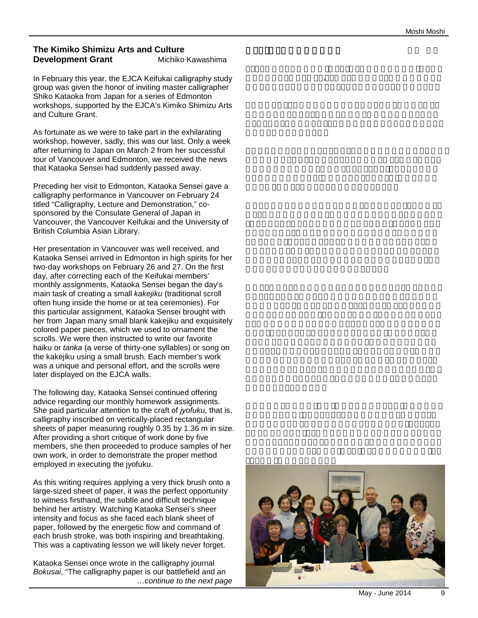$\overline{\phantom{a}}$ 

# **The Kimiko Shimizu Arts and Culture Development Grant** Michiko Kawashima

In February this year, the EJCA Keifukai calligraphy study group was given the honor of inviting master calligrapher Shiko Kataoka from Japan for a series of Edmonton workshops, supported by the EJCA's Kimiko Shimizu Arts and Culture Grant.

As fortunate as we were to take part in the exhilarating workshop, however, sadly, this was our last. Only a week after returning to Japan on March 2 from her successful tour of Vancouver and Edmonton, we received the news that Kataoka Sensei had suddenly passed away.

Preceding her visit to Edmonton, Kataoka Sensei gave a calligraphy performance in Vancouver on February 24 titled "Calligraphy, Lecture and Demonstration," cosponsored by the Consulate General of Japan in Vancouver, the Vancouver Keifukai and the University of British Columbia Asian Library.

Her presentation in Vancouver was well received, and Kataoka Sensei arrived in Edmonton in high spirits for her two-day workshops on February 26 and 27. On the first day, after correcting each of the Keifukai members' monthly assignments, Kataoka Sensei began the day's main task of creating a small *kakejiku* (traditional scroll often hung inside the home or at tea ceremonies). For this particular assignment, Kataoka Sensei brought with her from Japan many small blank kakejiku and exquisitely colored paper pieces, which we used to ornament the scrolls. We were then instructed to write our favorite haiku or *tanka* (a verse of thirty-one syllables) or song on the kakejiku using a small brush. Each member's work was a unique and personal effort, and the scrolls were later displayed on the EJCA walls.

The following day, Kataoka Sensei continued offering advice regarding our monthly homework assignments. She paid particular attention to the craft of *jyofuku,* that is, calligraphy inscribed on vertically-placed rectangular sheets of paper measuring roughly 0.35 by 1.36 m in size. After providing a short critique of work done by five members, she then proceeded to produce samples of her own work, in order to demonstrate the proper method employed in executing the jyofuku.

As this writing requires applying a very thick brush onto a large-sized sheet of paper, it was the perfect opportunity to witness firsthand, the subtle and difficult technique behind her artistry. Watching Kataoka Sensei's sheer intensity and focus as she faced each blank sheet of paper, followed by the energetic flow and command of each brush stroke, was both inspiring and breathtaking. This was a captivating lesson we will likely never forget.

Kataoka Sensei once wrote in the calligraphy journal *Bokusai*, "The calligraphy paper is our battlefield and an *…continue to the next page* 

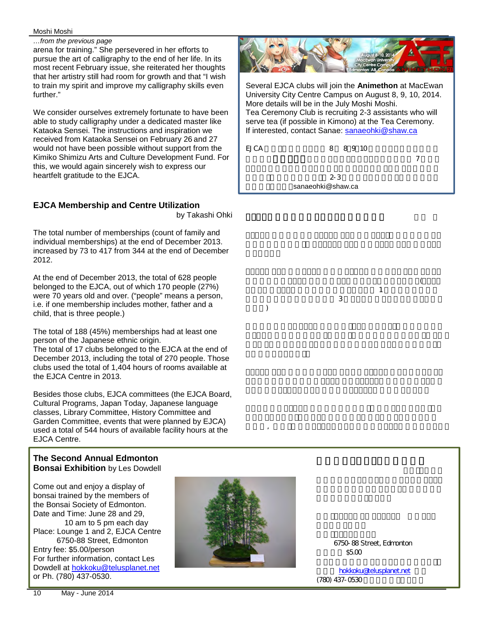### *…from the previous page*

arena for training." She persevered in her efforts to pursue the art of calligraphy to the end of her life. In its most recent February issue, she reiterated her thoughts that her artistry still had room for growth and that "I wish to train my spirit and improve my calligraphy skills even further."

We consider ourselves extremely fortunate to have been able to study calligraphy under a dedicated master like Kataoka Sensei. The instructions and inspiration we received from Kataoka Sensei on February 26 and 27 would not have been possible without support from the Kimiko Shimizu Arts and Culture Development Fund. For this, we would again sincerely wish to express our heartfelt gratitude to the EJCA.

# **EJCA Membership and Centre Utilization**

by Takashi Ohki

Ξ

 $\lambda$ 

The total number of memberships (count of family and individual memberships) at the end of December 2013. increased by 73 to 417 from 344 at the end of December 2012.

At the end of December 2013, the total of 628 people belonged to the EJCA, out of which 170 people (27%) were 70 years old and over. ("people" means a person, i.e. if one membership includes mother, father and a child, that is three people.)

The total of 188 (45%) memberships had at least one person of the Japanese ethnic origin.

The total of 17 clubs belonged to the EJCA at the end of December 2013, including the total of 270 people. Those clubs used the total of 1,404 hours of rooms available at the EJCA Centre in 2013.

Besides those clubs, EJCA committees (the EJCA Board, Cultural Programs, Japan Today, Japanese language classes, Library Committee, History Committee and Garden Committee, events that were planned by EJCA) used a total of 544 hours of available facility hours at the EJCA Centre.

i

# **The Second Annual Edmonton Bonsai Exhibition** by Les Dowdell

Come out and enjoy a display of bonsai trained by the members of the Bonsai Society of Edmonton. Date and Time: June 28 and 29, 10 am to 5 pm each day Place: Lounge 1 and 2, EJCA Centre 6750-88 Street, Edmonton Entry fee: \$5.00/person For further information, contact Les Dowdell at hokkoku@telusplanet.net or Ph. (780) 437-0530.





Several EJCA clubs will join the **Animethon** at MacEwan University City Centre Campus on August 8, 9, 10, 2014. More details will be in the July Moshi Moshi. Tea Ceremony Club is recruiting 2-3 assistants who will serve tea (if possible in Kimono) at the Tea Ceremony. If interested, contact Sanae: sanaeohki@shaw.ca

 $\sim$  3

 $\mathcal{L}_{\mathcal{A}}$ 

i

EJCA 8 8 9, 10

 $7$ 

 $2-3$ sanaeohki@shaw.ca

 $($ というのは、417 会員登録数の内では、417 会員登録に父母としてものは、417 会員登録に父母としてものは、417 会員登録に父母としてものは、417 会員登録に父母としてものは、417 会員登録に父母としてものは、417 会員登録に父母としてものは、417 会員登録に父母としてものは、417 会員登録に父母としてものは、417 会員登録に父母としてものは、417 会員登録に父母としてものは、417 会員登録に父母としてものは、41

> 6750-88 Street, Edmonton  $$500$

hokkoku@telusplanet.net  $(780)$  437-0530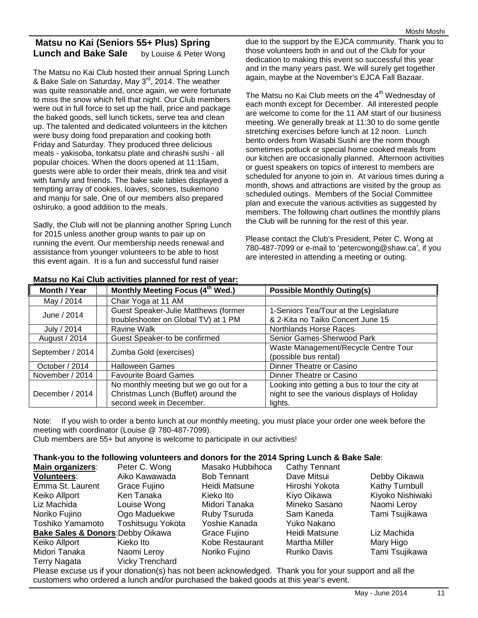# **Matsu no Kai (Seniors 55+ Plus) Spring Lunch and Bake Sale** by Louise & Peter Wong

The Matsu no Kai Club hosted their annual Spring Lunch & Bake Sale on Saturday, May 3<sup>rd</sup>, 2014. The weather was quite reasonable and, once again, we were fortunate to miss the snow which fell that night. Our Club members were out in full force to set up the hall, price and package the baked goods, sell lunch tickets, serve tea and clean up. The talented and dedicated volunteers in the kitchen were busy doing food preparation and cooking both Friday and Saturday. They produced three delicious meals - yakisoba, tonkatsu plate and chirashi sushi - all popular choices. When the doors opened at 11:15am, guests were able to order their meals, drink tea and visit with family and friends. The bake sale tables displayed a tempting array of cookies, loaves, scones, tsukemono and manju for sale. One of our members also prepared oshiruko, a good addition to the meals.

Sadly, the Club will not be planning another Spring Lunch for 2015 unless another group wants to pair up on running the event. Our membership needs renewal and assistance from younger volunteers to be able to host this event again. It is a fun and successful fund raiser

due to the support by the EJCA community. Thank you to those volunteers both in and out of the Club for your dedication to making this event so successful this year and in the many years past. We will surely get together again, maybe at the November's EJCA Fall Bazaar.

The Matsu no Kai Club meets on the  $4<sup>th</sup>$  Wednesday of each month except for December. All interested people are welcome to come for the 11 AM start of our business meeting. We generally break at 11:30 to do some gentle stretching exercises before lunch at 12 noon. Lunch bento orders from Wasabi Sushi are the norm though sometimes potluck or special home cooked meals from our kitchen are occasionally planned. Afternoon activities or guest speakers on topics of interest to members are scheduled for anyone to join in. At various times during a month, shows and attractions are visited by the group as scheduled outings. Members of the Social Committee plan and execute the various activities as suggested by members. The following chart outlines the monthly plans the Club will be running for the rest of this year.

Please contact the Club's President, Peter C. Wong at 780-487-7099 or e-mail to 'petercwong@shaw.ca', if you are interested in attending a meeting or outing.

| Month / Year     | Monthly Meeting Focus (4th Wed.)       | <b>Possible Monthly Outing(s)</b>              |
|------------------|----------------------------------------|------------------------------------------------|
| May / 2014       | Chair Yoga at 11 AM                    |                                                |
| June / 2014      | Guest Speaker-Julie Matthews (former   | 1-Seniors Tea/Tour at the Legislature          |
|                  | troubleshooter on Global TV) at 1 PM   | & 2-Kita no Taiko Concert June 15              |
| July / 2014      | Ravine Walk                            | Northlands Horse Races                         |
| August / 2014    | Guest Speaker-to be confirmed          | Senior Games-Sherwood Park                     |
| September / 2014 | Zumba Gold (exercises)                 | Waste Management/Recycle Centre Tour           |
|                  |                                        | (possible bus rental)                          |
| October / 2014   | <b>Halloween Games</b>                 | Dinner Theatre or Casino                       |
| November / 2014  | <b>Favourite Board Games</b>           | Dinner Theatre or Casino                       |
|                  | No monthly meeting but we go out for a | Looking into getting a bus to tour the city at |
| December / 2014  | Christmas Lunch (Buffet) around the    | night to see the various displays of Holiday   |
|                  | second week in December.               | lights.                                        |

### **Matsu no Kai Club activities planned for rest of year:**

Note: If you wish to order a bento lunch at our monthly meeting, you must place your order one week before the meeting with coordinator (Louise @ 780-487-7099).

Club members are 55+ but anyone is welcome to participate in our activities!

### **Thank-you to the following volunteers and donors for the 2014 Spring Lunch & Bake Sale**:

| Main organizers:                             | Peter C. Wong          | Masako Hubbihoca   | <b>Cathy Tennant</b>                                                                                   |                  |
|----------------------------------------------|------------------------|--------------------|--------------------------------------------------------------------------------------------------------|------------------|
| <b>Volunteers:</b>                           | Aiko Kawawada          | <b>Bob Tennant</b> | Dave Mitsui                                                                                            | Debby Oikawa     |
| Emma St. Laurent                             | Grace Fujino           | Heidi Matsune      | Hiroshi Yokota                                                                                         | Kathy Turnbull   |
| Keiko Allport                                | Ken Tanaka             | Kieko Ito          | Kiyo Oikawa                                                                                            | Kiyoko Nishiwaki |
| Liz Machida                                  | Louise Wong            | Midori Tanaka      | Mineko Sasano                                                                                          | Naomi Leroy      |
| Noriko Fujino                                | Ogo Maduekwe           | Ruby Tsuruda       | Sam Kaneda                                                                                             | Tami Tsujikawa   |
| Toshiko Yamamoto                             | Toshitsugu Yokota      | Yoshie Kanada      | Yuko Nakano                                                                                            |                  |
| <b>Bake Sales &amp; Donors: Debby Oikawa</b> |                        | Grace Fujino       | Heidi Matsune                                                                                          | Liz Machida      |
| Keiko Allport                                | Kieko Ito              | Kobe Restaurant    | Martha Miller                                                                                          | Mary Higo        |
| Midori Tanaka                                | Naomi Leroy            | Noriko Fujino      | Ruriko Davis                                                                                           | Tami Tsujikawa   |
| <b>Terry Nagata</b>                          | <b>Vicky Trenchard</b> |                    |                                                                                                        |                  |
|                                              |                        |                    | Please excuse us if your donation(s) has not been acknowledged. Thank you for your support and all the |                  |

customers who ordered a lunch and/or purchased the baked goods at this year's event.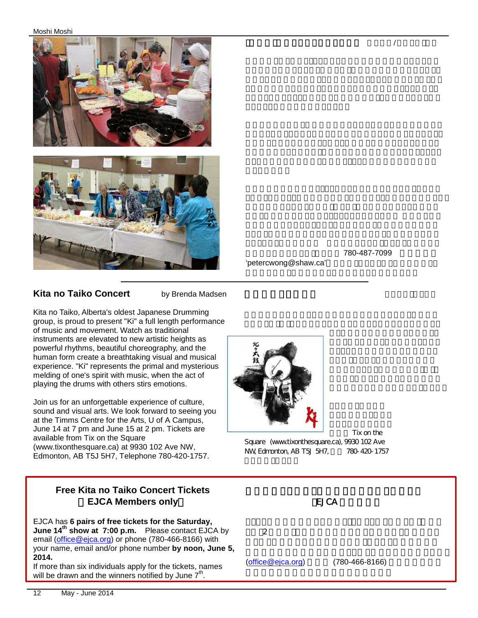



**Kita no Taiko Concert** by Brenda Madsen

Kita no Taiko, Alberta's oldest Japanese Drumming group, is proud to present "Ki" a full length performance of music and movement. Watch as traditional instruments are elevated to new artistic heights as powerful rhythms, beautiful choreography, and the human form create a breathtaking visual and musical experience. "Ki" represents the primal and mysterious melding of one's spirit with music, when the act of playing the drums with others stirs emotions.

Join us for an unforgettable experience of culture, sound and visual arts. We look forward to seeing you at the Timms Centre for the Arts, U of A Campus, June 14 at 7 pm and June 15 at 2 pm. Tickets are available from Tix on the Square (www.tixonthesquare.ca) at 9930 102 Ave NW, Edmonton, AB T5J 5H7, Telephone 780-420-1757.

EJCA has **6 pairs of free tickets for the Saturday, June 14th show at 7:00 p.m.** Please contact EJCA by email (office@ejca.org) or phone (780-466-8166) with your name, email and/or phone number **by noon, June 5, 2014.** 

will be drawn and the winners notified by June  $7<sup>th</sup>$ .

'petercwong@shaw.ca'

Tix on the Square (www.tixonthesquare.ca), 9930 102 Ave NW, Edmonton, AB T5J 5H7, 780-420-1757



780-487-7099

「松の会」春のランチとベークセール ルイーズ/ピーター・ワン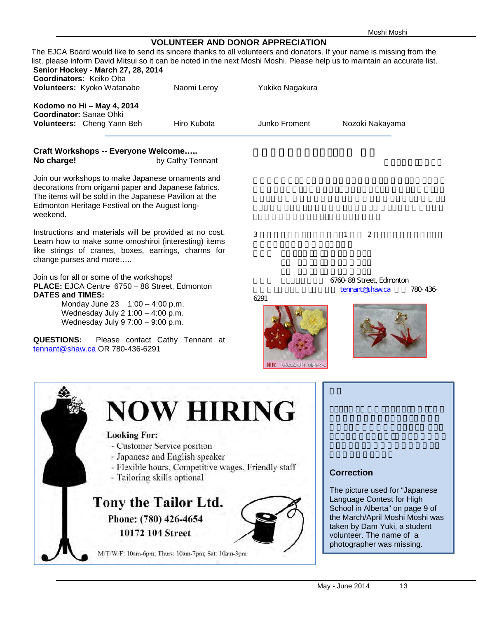## **VOLUNTEER AND DONOR APPRECIATION**

The EJCA Board would like to send its sincere thanks to all volunteers and donators. If your name is missing from the list, please inform David Mitsui so it can be noted in the next Moshi Moshi. Please help us to maintain an accurate list. **Senior Hockey - March 27, 28, 2014 Coordinators:** Keiko Oba Volunteers: Kyoko Watanabe Naomi Leroy Yukiko Nagakura **Kodomo no Hi – May 4, 2014 Coordinator:** Sanae Ohki **Volunteers:** Cheng Yann Beh Hiro Kubota Junko Froment Nozoki Nakayama **Craft Workshops -- Everyone Welcome….. No charge! by Cathy Tennant** Join our workshops to make Japanese ornaments and decorations from origami paper and Japanese fabrics. The items will be sold in the Japanese Pavilion at the Edmonton Heritage Festival on the August longweekend. Instructions and materials will be provided at no cost.  $3 \t 1 \t 2$ Learn how to make some omoshiroi (interesting) items like strings of cranes, boxes, earrings, charms for change purses and more….. Join us for all or some of the workshops! 6760-88 Street, Edmonton **PLACE:** EJCA Centre 6750 – 88 Street, Edmonton tennant@shaw.ca 780-436-**DATES and TIMES:** 6291 Monday June 23 1:00 – 4:00 p.m. Wednesday July 2 1:00 – 4:00 p.m. Wednesday July 9 7:00 – 9:00 p.m. **QUESTIONS:** Please contact Cathy Tennant at tennant@shaw.ca OR 780-436-6291 雑貨 ちりめん退付(周辺さく) **NOW HIRING Looking For:** - Customer Service position - Japanese and English speaker - Flexible hours, Competitive wages, Friendly staff **Correction**  - Tailoring skills optional The picture used for "Japanese Language Contest for High Tony the Tailor Ltd. School in Alberta" on page 9 of the March/April Moshi Moshi was Phone: (780) 426-4654 taken by Dam Yuki, a student 10172 104 Street volunteer. The name of a photographer was missing.M/T/W/F: 10am-6pm; Thurs: 10am-7pm; Sat: 10am-3pm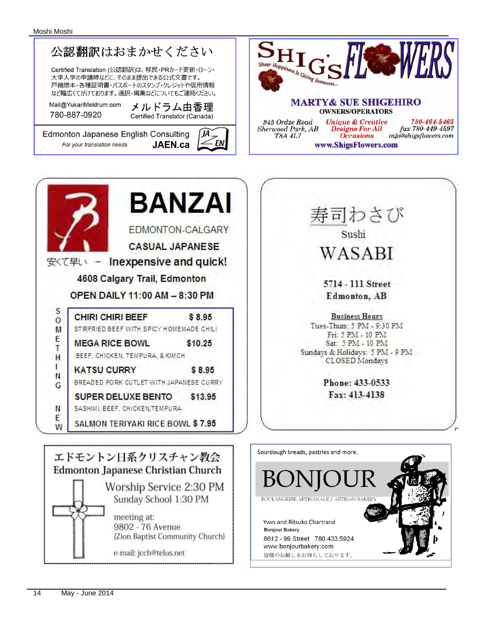



9802 - 76 Avenue (Zion Baptist Community Church)

e-mail: jcch@telus.net

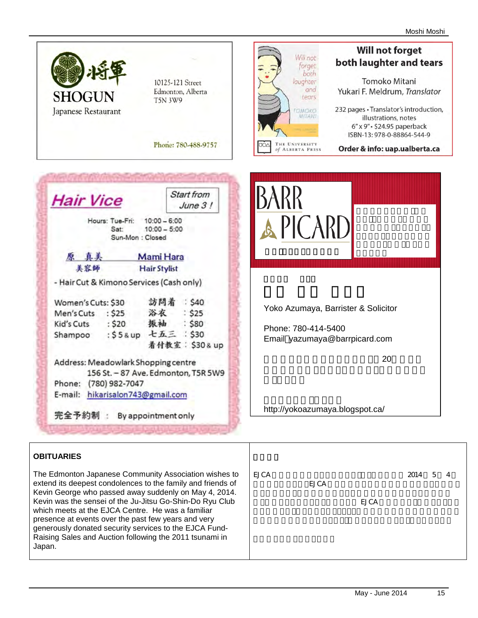

The Edmonton Japanese Community Association wishes to extend its deepest condolences to the family and friends of Kevin George who passed away suddenly on May 4, 2014. Kevin was the sensei of the Ju-Jitsu Go-Shin-Do Ryu Club which meets at the EJCA Centre. He was a familiar presence at events over the past few years and very generously donated security services to the EJCA Fund-Raising Sales and Auction following the 2011 tsunami in Japan.

| <b>EJCA</b> | <b>EJCA</b> |             | 2014 5 4 |  |  |
|-------------|-------------|-------------|----------|--|--|
|             |             | <b>EJCA</b> |          |  |  |
|             |             |             |          |  |  |
|             |             |             |          |  |  |
|             |             |             |          |  |  |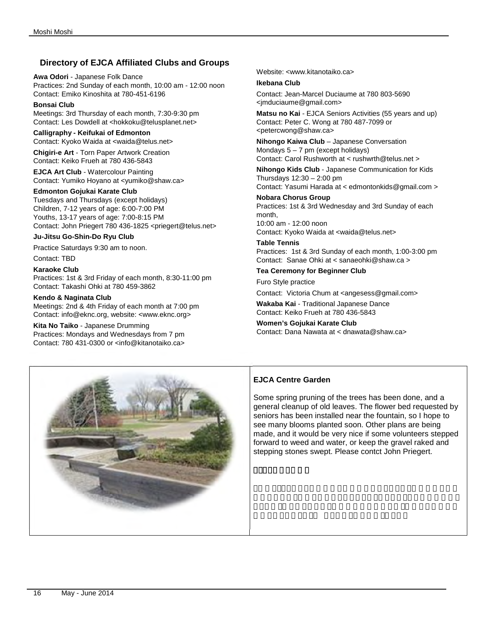# **Directory of EJCA Affiliated Clubs and Groups**

**Awa Odori** - Japanese Folk Dance Practices: 2nd Sunday of each month, 10:00 am - 12:00 noon Contact: Emiko Kinoshita at 780-451-6196

### **Bonsai Club**

Meetings: 3rd Thursday of each month, 7:30-9:30 pm Contact: Les Dowdell at <hokkoku@telusplanet.net>

**Calligraphy - Keifukai of Edmonton**  Contact: Kyoko Waida at <waida@telus.net>

**Chigiri-e Art** - Torn Paper Artwork Creation Contact: Keiko Frueh at 780 436-5843

**EJCA Art Club** - Watercolour Painting Contact: Yumiko Hoyano at <yumiko@shaw.ca>

**Edmonton Gojukai Karate Club** 

Tuesdays and Thursdays (except holidays) Children, 7-12 years of age: 6:00-7:00 PM Youths, 13-17 years of age: 7:00-8:15 PM Contact: John Priegert 780 436-1825 <priegert@telus.net>

#### **Ju-Jitsu Go-Shin-Do Ryu Club**

Practice Saturdays 9:30 am to noon.

Contact: TBD

# **Karaoke Club**

Practices: 1st & 3rd Friday of each month, 8:30-11:00 pm Contact: Takashi Ohki at 780 459-3862

## **Kendo & Naginata Club**

Meetings: 2nd & 4th Friday of each month at 7:00 pm Contact: info@eknc.org, website: <www.eknc.org>

**Kita No Taiko** - Japanese Drumming Practices: Mondays and Wednesdays from 7 pm Contact: 780 431-0300 or <info@kitanotaiko.ca>

Website: <www.kitanotaiko.ca>

#### **Ikebana Club**

Contact: Jean-Marcel Duciaume at 780 803-5690 <jmduciaume@gmail.com>

**Matsu no Kai** - EJCA Seniors Activities (55 years and up) Contact: Peter C. Wong at 780 487-7099 or <petercwong@shaw.ca>

**Nihongo Kaiwa Club** – Japanese Conversation Mondays  $5 - 7$  pm (except holidays) Contact: Carol Rushworth at < rushwrth@telus.net >

**Nihongo Kids Club** - Japanese Communication for Kids Thursdays 12:30 – 2:00 pm Contact: Yasumi Harada at < edmontonkids@gmail.com >

**Nobara Chorus Group**  Practices: 1st & 3rd Wednesday and 3rd Sunday of each month, 10:00 am - 12:00 noon

Contact: Kyoko Waida at <waida@telus.net>

#### **Table Tennis**

Practices: 1st & 3rd Sunday of each month, 1:00-3:00 pm Contact: Sanae Ohki at < sanaeohki@shaw.ca >

## **Tea Ceremony for Beginner Club**

Furo Style practice

Contact: Victoria Chum at <angesess@gmail.com>

**Wakaba Kai** - Traditional Japanese Dance Contact: Keiko Frueh at 780 436-5843

**Women's Gojukai Karate Club**  Contact: Dana Nawata at < dnawata@shaw.ca>



# **EJCA Centre Garden**

Some spring pruning of the trees has been done, and a general cleanup of old leaves. The flower bed requested by seniors has been installed near the fountain, so I hope to see many blooms planted soon. Other plans are being made, and it would be very nice if some volunteers stepped forward to weed and water, or keep the gravel raked and stepping stones swept. Please contct John Priegert.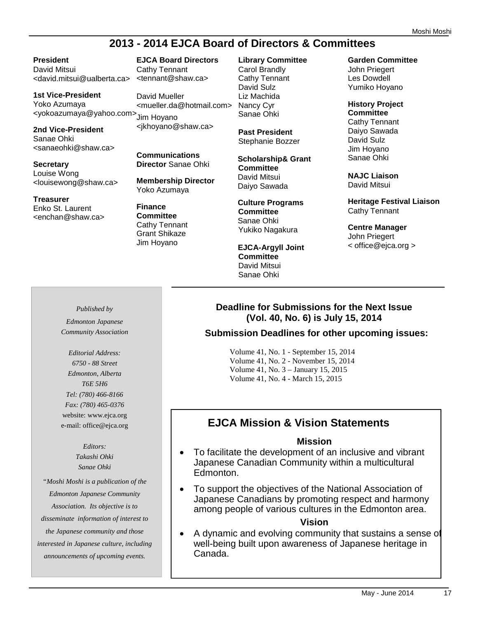# **2013 - 2014 EJCA Board of Directors & Committees**

**President** 

David Mitsui <david.mitsui@ualberta.ca>

**1st Vice-President**  Yoko Azumaya <yokoazumaya@yahoo.com> Jim Hoyano

**2nd Vice-President**  Sanae Ohki <sanaeohki@shaw.ca>

**Secretary**  Louise Wong <louisewong@shaw.ca>

**Treasurer** Enko St. Laurent <enchan@shaw.ca>

**EJCA Board Directors**  Cathy Tennant <tennant@shaw.ca>

David Mueller <mueller.da@hotmail.com> Nancy Cyr <jkhoyano@shaw.ca>

**Communications Director** Sanae Ohki

**Membership Director**  Yoko Azumaya

**Finance Committee**  Cathy Tennant Grant Shikaze Jim Hoyano

**Library Committee** Carol Brandly Cathy Tennant David Sulz Liz Machida Sanae Ohki

**Past President**  Stephanie Bozzer

**Scholarship& Grant Committee** David Mitsui Daiyo Sawada

**Culture Programs Committee**  Sanae Ohki Yukiko Nagakura

**EJCA-Argyll Joint Committee**  David Mitsui Sanae Ohki

**Garden Committee** 

John Priegert Les Dowdell Yumiko Hoyano

**History Project Committee**  Cathy Tennant Daiyo Sawada David Sulz Jim Hoyano Sanae Ohki

**NAJC Liaison** David Mitsui

**Heritage Festival Liaison** Cathy Tennant

**Centre Manager** John Priegert < office@ejca.org >

# *Published by Edmonton Japanese Community Association*

*Editorial Address: 6750 - 88 Street Edmonton, Alberta T6E 5H6 Tel: (780) 466-8166 Fax: (780) 465-0376*  website: www.ejca.org e-mail: office@ejca.org

> *Editors: Takashi Ohki Sanae Ohki*

*"Moshi Moshi is a publication of the Edmonton Japanese Community Association. Its objective is to disseminate information of interest to the Japanese community and those interested in Japanese culture, including announcements of upcoming events.* 

**Deadline for Submissions for the Next Issue (Vol. 40, No. 6) is July 15, 2014** 

**Submission Deadlines for other upcoming issues:** 

Volume 41, No. 1 - September 15, 2014 Volume 41, No. 2 - November 15, 2014 Volume 41, No. 3 – January 15, 2015 Volume 41, No. 4 - March 15, 2015

# **EJCA Mission & Vision Statements**

# **Mission**

- · To facilitate the development of an inclusive and vibrant Japanese Canadian Community within a multicultural Edmonton.
- · To support the objectives of the National Association of Japanese Canadians by promoting respect and harmony among people of various cultures in the Edmonton area.

# **Vision**

· A dynamic and evolving community that sustains a sense of well-being built upon awareness of Japanese heritage in Canada.